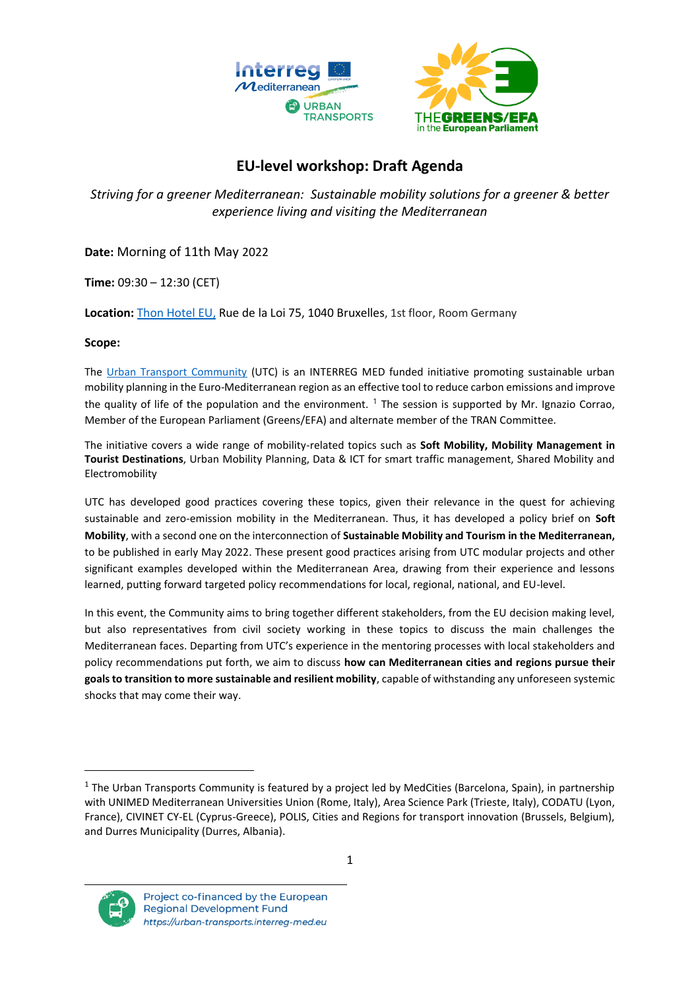

# **EU-level workshop: Draft Agenda**

*Striving for a greener Mediterranean: Sustainable mobility solutions for a greener & better experience living and visiting the Mediterranean*

**Date:** Morning of 11th May 2022

**Time:** 09:30 – 12:30 (CET)

**Location:** [Thon Hotel EU,](https://www.thonhotels.com/our-hotels/belgium/brussels/thon-hotel-eu/?gclid=CjwKCAjwrfCRBhAXEiwAnkmKmSDU2v-4WF23HQVhPvCzKHTVYAwhHmHWmpEnjin-ykKVX9-oMsY6IhoCXbwQAvD_BwE&gclsrc=aw.ds) Rue de la Loi 75, 1040 Bruxelles, 1st floor, Room Germany

# **Scope:**

The [Urban Transport Community](https://urban-transports.interreg-med.eu/) (UTC) is an INTERREG MED funded initiative promoting sustainable urban mobility planning in the Euro-Mediterranean region as an effective tool to reduce carbon emissions and improve the quality of life of the population and the environment. <sup>1</sup> The session is supported by Mr. Ignazio Corrao, Member of the European Parliament (Greens/EFA) and alternate member of the TRAN Committee.

The initiative covers a wide range of mobility-related topics such as **Soft Mobility, Mobility Management in Tourist Destinations**, Urban Mobility Planning, Data & ICT for smart traffic management, Shared Mobility and Electromobility

UTC has developed good practices covering these topics, given their relevance in the quest for achieving sustainable and zero-emission mobility in the Mediterranean. Thus, it has developed a policy brief on **Soft Mobility**, with a second one on the interconnection of **Sustainable Mobility and Tourism in the Mediterranean,** to be published in early May 2022. These present good practices arising from UTC modular projects and other significant examples developed within the Mediterranean Area, drawing from their experience and lessons learned, putting forward targeted policy recommendations for local, regional, national, and EU-level.

In this event, the Community aims to bring together different stakeholders, from the EU decision making level, but also representatives from civil society working in these topics to discuss the main challenges the Mediterranean faces. Departing from UTC's experience in the mentoring processes with local stakeholders and policy recommendations put forth, we aim to discuss **how can Mediterranean cities and regions pursue their goals to transition to more sustainable and resilient mobility**, capable of withstanding any unforeseen systemic shocks that may come their way.

<sup>&</sup>lt;sup>1</sup> The Urban Transports Community is featured by a project led by MedCities (Barcelona, Spain), in partnership with UNIMED Mediterranean Universities Union (Rome, Italy), Area Science Park (Trieste, Italy), CODATU (Lyon, France), CIVINET CY-EL (Cyprus-Greece), POLIS, Cities and Regions for transport innovation (Brussels, Belgium), and Durres Municipality (Durres, Albania).